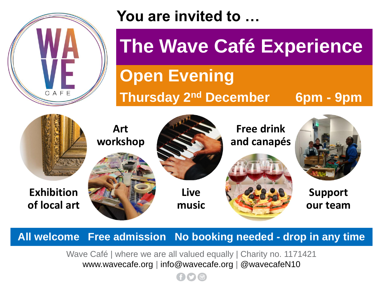

## **You are invited to …**

## **The Wave Café Experience**

## **Open Evening**

## **Thursday 2nd December 6pm - 9pm**



**All welcome Free admission No booking needed - drop in any time**

Wave Café | where we are all valued equally | Charity no. 1171421 www.wavecafe.org | info@wavecafe.org | @wavecafeN10